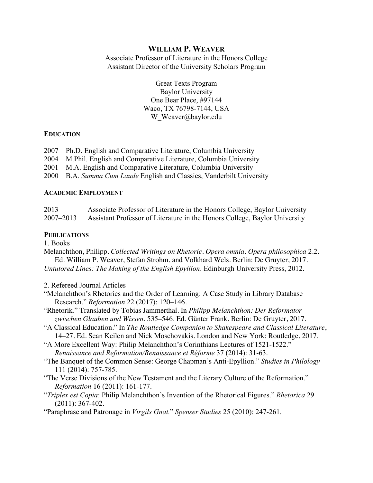## **WILLIAM P. WEAVER**

Associate Professor of Literature in the Honors College Assistant Director of the University Scholars Program

> Great Texts Program Baylor University One Bear Place, #97144 Waco, TX 76798-7144, USA W Weaver@baylor.edu

#### **EDUCATION**

- 2007 Ph.D. English and Comparative Literature, Columbia University
- 2004 M.Phil. English and Comparative Literature, Columbia University
- 2001 M.A. English and Comparative Literature, Columbia University
- 2000 B.A. *Summa Cum Laude* English and Classics, Vanderbilt University

#### **ACADEMIC EMPLOYMENT**

2013– Associate Professor of Literature in the Honors College, Baylor University 2007–2013 Assistant Professor of Literature in the Honors College, Baylor University

#### **PUBLICATIONS**

1. Books

Melanchthon, Philipp. *Collected Writings on Rhetoric*. *Opera omnia. Opera philosophica* 2.2. Ed. William P. Weaver, Stefan Strohm, and Volkhard Wels. Berlin: De Gruyter, 2017. *Untutored Lines: The Making of the English Epyllion*. Edinburgh University Press, 2012.

- 2. Refereed Journal Articles
- "Melanchthon's Rhetorics and the Order of Learning: A Case Study in Library Database Research." *Reformation* 22 (2017): 120–146.
- "Rhetorik." Translated by Tobias Jammerthal. In *Philipp Melanchthon: Der Reformator zwischen Glauben und Wissen*, 535–546. Ed. Günter Frank. Berlin: De Gruyter, 2017.
- "A Classical Education." In *The Routledge Companion to Shakespeare and Classical Literature*, 14–27. Ed. Sean Keilen and Nick Moschovakis. London and New York: Routledge, 2017.
- "A More Excellent Way: Philip Melanchthon's Corinthians Lectures of 1521-1522." *Renaissance and Reformation/Renaissance et Réforme* 37 (2014): 31-63.
- "The Banquet of the Common Sense: George Chapman's Anti-Epyllion." *Studies in Philology* 111 (2014): 757-785.
- "The Verse Divisions of the New Testament and the Literary Culture of the Reformation." *Reformation* 16 (2011): 161-177.
- "*Triplex est Copia*: Philip Melanchthon's Invention of the Rhetorical Figures." *Rhetorica* 29 (2011): 367-402.
- "Paraphrase and Patronage in *Virgils Gnat.*" *Spenser Studies* 25 (2010): 247-261.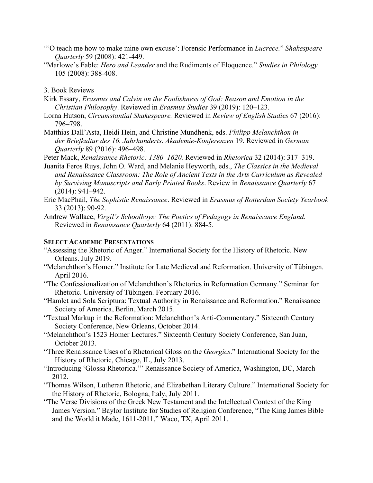- "'O teach me how to make mine own excuse': Forensic Performance in *Lucrece.*" *Shakespeare Quarterly* 59 (2008): 421-449.
- "Marlowe's Fable: *Hero and Leander* and the Rudiments of Eloquence." *Studies in Philology* 105 (2008): 388-408.

#### 3. Book Reviews

- Kirk Essary, *Erasmus and Calvin on the Foolishness of God: Reason and Emotion in the Christian Philosophy*. Reviewed in *Erasmus Studies* 39 (2019): 120–123.
- Lorna Hutson, *Circumstantial Shakespeare.* Reviewed in *Review of English Studies* 67 (2016): 796–798.
- Matthias Dall'Asta, Heidi Hein, and Christine Mundhenk, eds. *Philipp Melanchthon in der Briefkultur des 16. Jahrhunderts*. *Akademie-Konferenzen* 19. Reviewed in *German Quarterly* 89 (2016): 496–498.

Peter Mack, *Renaissance Rhetoric: 1380–1620.* Reviewed in *Rhetorica* 32 (2014): 317–319.

- Juanita Feros Ruys, John O. Ward, and Melanie Heyworth, eds., *The Classics in the Medieval and Renaissance Classroom: The Role of Ancient Texts in the Arts Curriculum as Revealed by Surviving Manuscripts and Early Printed Books*. Review in *Renaissance Quarterly* 67 (2014): 941–942.
- Eric MacPhail, *The Sophistic Renaissance*. Reviewed in *Erasmus of Rotterdam Society Yearbook* 33 (2013): 90-92.
- Andrew Wallace, *Virgil's Schoolboys: The Poetics of Pedagogy in Renaissance England*. Reviewed in *Renaissance Quarterly* 64 (2011): 884-5.

### **SELECT ACADEMIC PRESENTATIONS**

- "Assessing the Rhetoric of Anger." International Society for the History of Rhetoric. New Orleans. July 2019.
- "Melanchthon's Homer." Institute for Late Medieval and Reformation. University of Tübingen. April 2016.
- "The Confessionalization of Melanchthon's Rhetorics in Reformation Germany." Seminar for Rhetoric. University of Tübingen. February 2016.
- "Hamlet and Sola Scriptura: Textual Authority in Renaissance and Reformation." Renaissance Society of America, Berlin, March 2015.
- "Textual Markup in the Reformation: Melanchthon's Anti-Commentary." Sixteenth Century Society Conference, New Orleans, October 2014.
- "Melanchthon's 1523 Homer Lectures." Sixteenth Century Society Conference, San Juan, October 2013.
- "Three Renaissance Uses of a Rhetorical Gloss on the *Georgics*." International Society for the History of Rhetoric, Chicago, IL, July 2013.
- "Introducing 'Glossa Rhetorica.'" Renaissance Society of America, Washington, DC, March 2012.
- "Thomas Wilson, Lutheran Rhetoric, and Elizabethan Literary Culture." International Society for the History of Rhetoric, Bologna, Italy, July 2011.
- "The Verse Divisions of the Greek New Testament and the Intellectual Context of the King James Version." Baylor Institute for Studies of Religion Conference, "The King James Bible and the World it Made, 1611-2011," Waco, TX, April 2011.